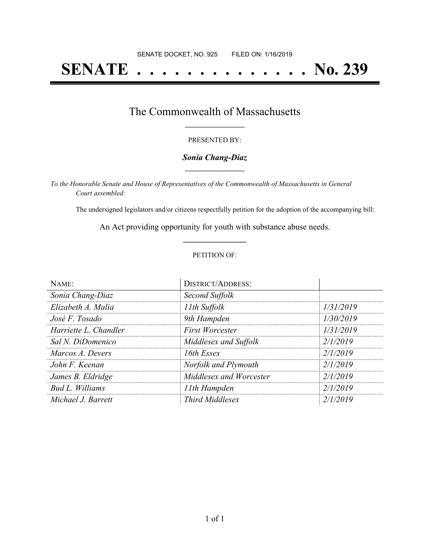# **SENATE . . . . . . . . . . . . . . No. 239**

### The Commonwealth of Massachusetts **\_\_\_\_\_\_\_\_\_\_\_\_\_\_\_\_\_**

#### PRESENTED BY:

#### *Sonia Chang-Diaz* **\_\_\_\_\_\_\_\_\_\_\_\_\_\_\_\_\_**

*To the Honorable Senate and House of Representatives of the Commonwealth of Massachusetts in General Court assembled:*

The undersigned legislators and/or citizens respectfully petition for the adoption of the accompanying bill:

An Act providing opportunity for youth with substance abuse needs. **\_\_\_\_\_\_\_\_\_\_\_\_\_\_\_**

#### PETITION OF:

| NAME:                 | <b>DISTRICT/ADDRESS:</b> |           |
|-----------------------|--------------------------|-----------|
| Sonia Chang-Diaz      | Second Suffolk           |           |
| Elizabeth A. Malia    | 11th Suffolk             | 1/31/2019 |
| José F. Tosado        | 9th Hampden              | 1/30/2019 |
| Harriette L. Chandler | <b>First Worcester</b>   | 1/31/2019 |
| Sal N. DiDomenico     | Middlesex and Suffolk    | 2/1/2019  |
| Marcos A. Devers      | 16th Essex               | 2/1/2019  |
| John F. Keenan        | Norfolk and Plymouth     | 2/1/2019  |
| James B. Eldridge     | Middlesex and Worcester  | 2/1/2019  |
| Bud L. Williams       | 11th Hampden             | 2/1/2019  |
| Michael J. Barrett    | <b>Third Middlesex</b>   | 2/1/2019  |